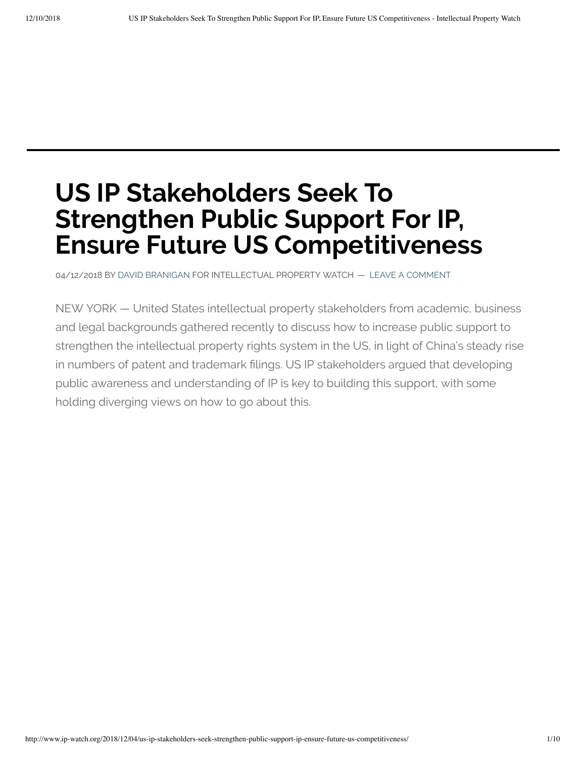# **US IP Stakeholders Seek To Strengthen Public Support For IP, Ensure Future US Competitiveness**

04/12/2018 BY DAVID [BRANIGAN](http://www.ip-watch.org/author/david-branigan/) FOR INTELLECTUAL PROPERTY WATCH — LEAVE A COMMENT

NEW YORK — United States intellectual property stakeholders from academic, business and legal backgrounds gathered recently to discuss how to increase public support to strengthen the intellectual property rights system in the US, in light of China's steady rise in numbers of patent and trademark filings. US IP stakeholders argued that developing public awareness and understanding of IP is key to building this support, with some holding diverging views on how to go about this.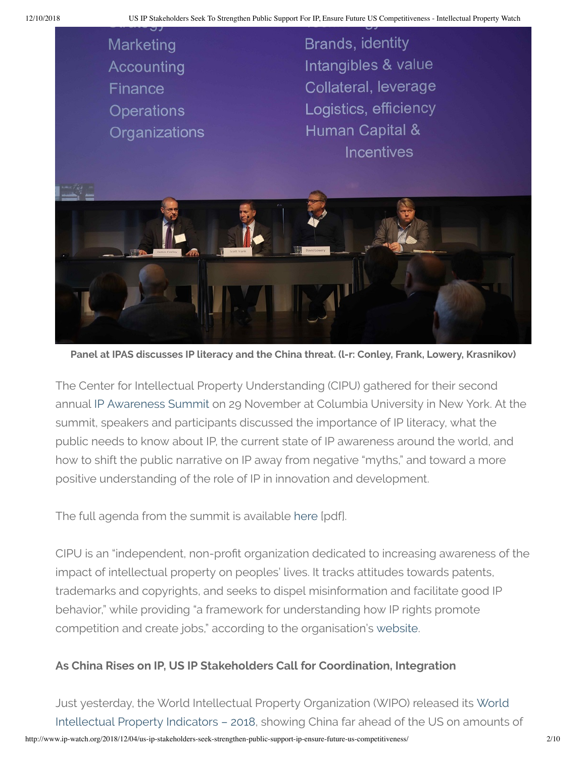

**Panel at IPAS discusses IP literacy and the China threat. (l-r: Conley, Frank, Lowery, Krasnikov)**

The Center for Intellectual Property Understanding (CIPU) gathered for their second annual IP [Awareness](https://www.ipawarenesssummit.com/) Summit on 29 November at Columbia University in New York. At the summit, speakers and participants discussed the importance of IP literacy, what the public needs to know about IP, the current state of IP awareness around the world, and how to shift the public narrative on IP away from negative "myths," and toward a more positive understanding of the role of IP in innovation and development.

The full agenda from the summit is available [here](https://docs.wixstatic.com/ugd/3f14ba_fe9d7f7ac51d4e2f9ada9e368e0ae2c8.pdf) [pdf].

CIPU is an "independent, non-profit organization dedicated to increasing awareness of the impact of intellectual property on peoples' lives. It tracks attitudes towards patents, trademarks and copyrights, and seeks to dispel misinformation and facilitate good IP behavior," while providing "a framework for understanding how IP rights promote competition and create jobs," according to the organisation's [website.](http://www.understandingip.org/)

### **As China Rises on IP, US IP Stakeholders Call for Coordination, Integration**

http://www.ip-watch.org/2018/12/04/us-ip-stakeholders-seek-strengthen-public-support-ip-ensure-future-us-competitiveness/ 2/10 Just yesterday, the World Intellectual Property [Organization](https://www.wipo.int/pressroom/en/articles/2018/article_0012.html) (WIPO) released its World Intellectual Property Indicators – 2018, showing China far ahead of the US on amounts of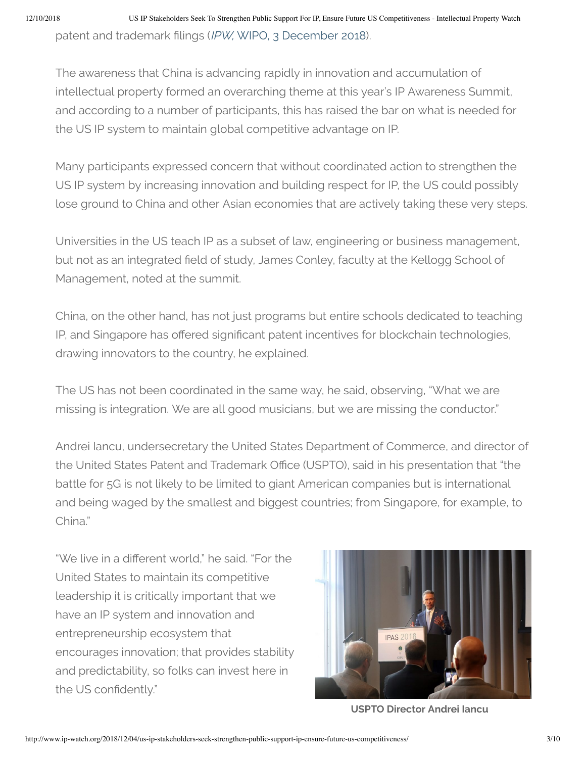The awareness that China is advancing rapidly in innovation and accumulation of intellectual property formed an overarching theme at this year's IP Awareness Summit, and according to a number of participants, this has raised the bar on what is needed for the US IP system to maintain global competitive advantage on IP.

Many participants expressed concern that without coordinated action to strengthen the US IP system by increasing innovation and building respect for IP, the US could possibly lose ground to China and other Asian economies that are actively taking these very steps.

Universities in the US teach IP as a subset of law, engineering or business management, but not as an integrated field of study, James Conley, faculty at the Kellogg School of Management, noted at the summit.

China, on the other hand, has not just programs but entire schools dedicated to teaching IP, and Singapore has offered significant patent incentives for blockchain technologies, drawing innovators to the country, he explained.

The US has not been coordinated in the same way, he said, observing, "What we are missing is integration. We are all good musicians, but we are missing the conductor."

Andrei Iancu, undersecretary the United States Department of Commerce, and director of the United States Patent and Trademark Office (USPTO), said in his presentation that "the battle for 5G is not likely to be limited to giant American companies but is international and being waged by the smallest and biggest countries; from Singapore, for example, to China."

"We live in a different world," he said, "For the United States to maintain its competitive leadership it is critically important that we have an IP system and innovation and entrepreneurship ecosystem that encourages innovation; that provides stability and predictability, so folks can invest here in the US confidently."



**USPTO Director Andrei Iancu**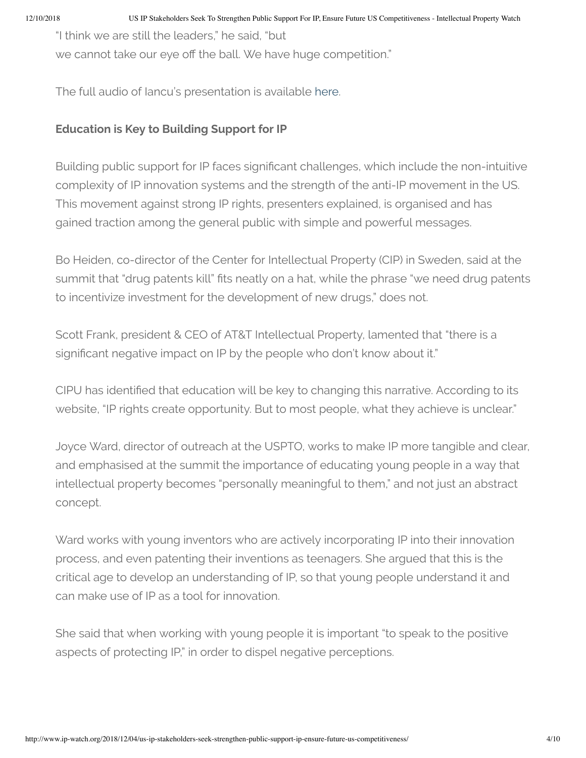"I think we are still the leaders," he said, "but

we cannot take our eye off the ball. We have huge competition."

The full audio of Iancu's presentation is available [here.](https://www.ipawarenesssummit.com/recorded-speakers)

## **Education is Key to Building Support for IP**

Building public support for IP faces significant challenges, which include the non-intuitive complexity of IP innovation systems and the strength of the anti-IP movement in the US. This movement against strong IP rights, presenters explained, is organised and has gained traction among the general public with simple and powerful messages.

Bo Heiden, co-director of the Center for Intellectual Property (CIP) in Sweden, said at the summit that "drug patents kill" fits neatly on a hat, while the phrase "we need drug patents to incentivize investment for the development of new drugs," does not.

Scott Frank, president & CEO of AT&T Intellectual Property, lamented that "there is a significant negative impact on IP by the people who don't know about it."

CIPU has identified that education will be key to changing this narrative. According to its website, "IP rights create opportunity. But to most people, what they achieve is unclear."

Joyce Ward, director of outreach at the USPTO, works to make IP more tangible and clear, and emphasised at the summit the importance of educating young people in a way that intellectual property becomes "personally meaningful to them," and not just an abstract concept.

Ward works with young inventors who are actively incorporating IP into their innovation process, and even patenting their inventions as teenagers. She argued that this is the critical age to develop an understanding of IP, so that young people understand it and can make use of IP as a tool for innovation.

She said that when working with young people it is important "to speak to the positive aspects of protecting IP," in order to dispel negative perceptions.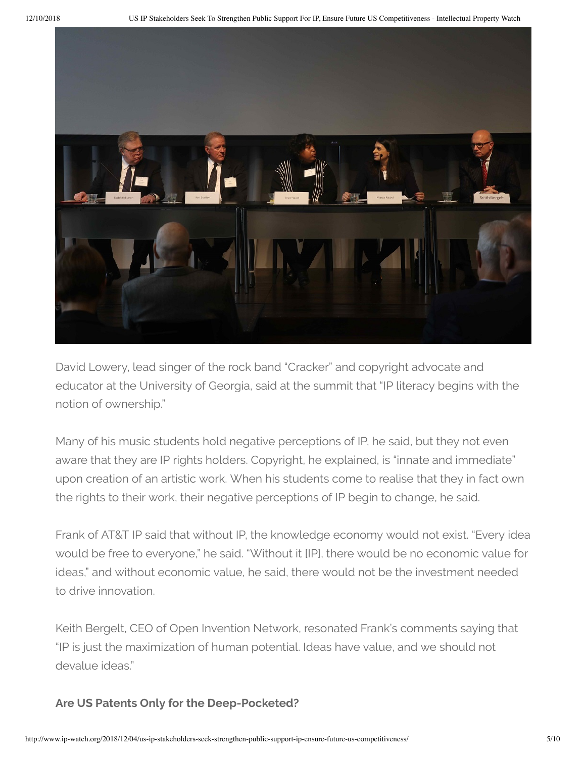

David Lowery, lead singer of the rock band "Cracker" and copyright advocate and educator at the University of Georgia, said at the summit that "IP literacy begins with the notion of ownership."

Many of his music students hold negative perceptions of IP, he said, but they not even aware that they are IP rights holders. Copyright, he explained, is "innate and immediate" upon creation of an artistic work. When his students come to realise that they in fact own the rights to their work, their negative perceptions of IP begin to change, he said.

Frank of AT&T IP said that without IP, the knowledge economy would not exist. "Every idea would be free to everyone," he said. "Without it [IP], there would be no economic value for ideas," and without economic value, he said, there would not be the investment needed to drive innovation.

Keith Bergelt, CEO of Open Invention Network, resonated Frank's comments saying that "IP is just the maximization of human potential. Ideas have value, and we should not devalue ideas."

### **Are US Patents Only for the Deep-Pocketed?**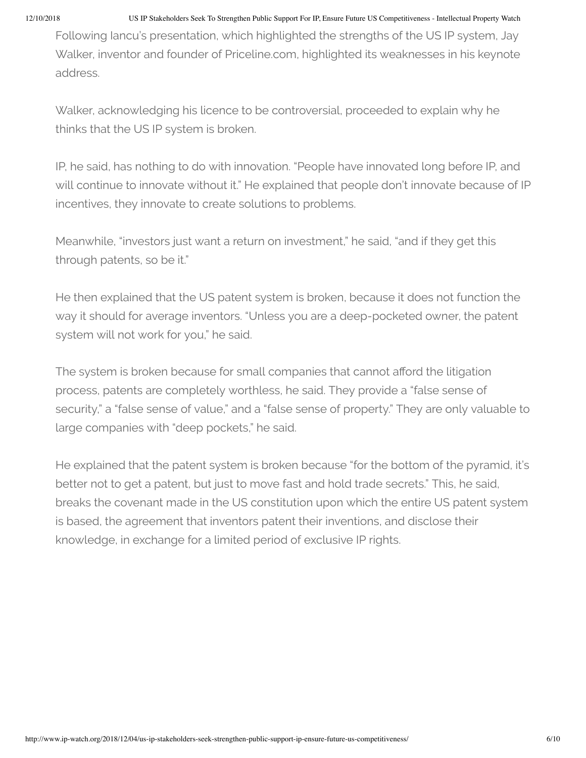Following Iancu's presentation, which highlighted the strengths of the US IP system, Jay Walker, inventor and founder of Priceline.com, highlighted its weaknesses in his keynote address.

Walker, acknowledging his licence to be controversial, proceeded to explain why he thinks that the US IP system is broken.

IP, he said, has nothing to do with innovation. "People have innovated long before IP, and will continue to innovate without it." He explained that people don't innovate because of IP incentives, they innovate to create solutions to problems.

Meanwhile, "investors just want a return on investment," he said, "and if they get this through patents, so be it."

He then explained that the US patent system is broken, because it does not function the way it should for average inventors. "Unless you are a deep-pocketed owner, the patent system will not work for you," he said.

The system is broken because for small companies that cannot afford the litigation process, patents are completely worthless, he said. They provide a "false sense of security," a "false sense of value," and a "false sense of property." They are only valuable to large companies with "deep pockets," he said.

He explained that the patent system is broken because "for the bottom of the pyramid, it's better not to get a patent, but just to move fast and hold trade secrets." This, he said, breaks the covenant made in the US constitution upon which the entire US patent system is based, the agreement that inventors patent their inventions, and disclose their knowledge, in exchange for a limited period of exclusive IP rights.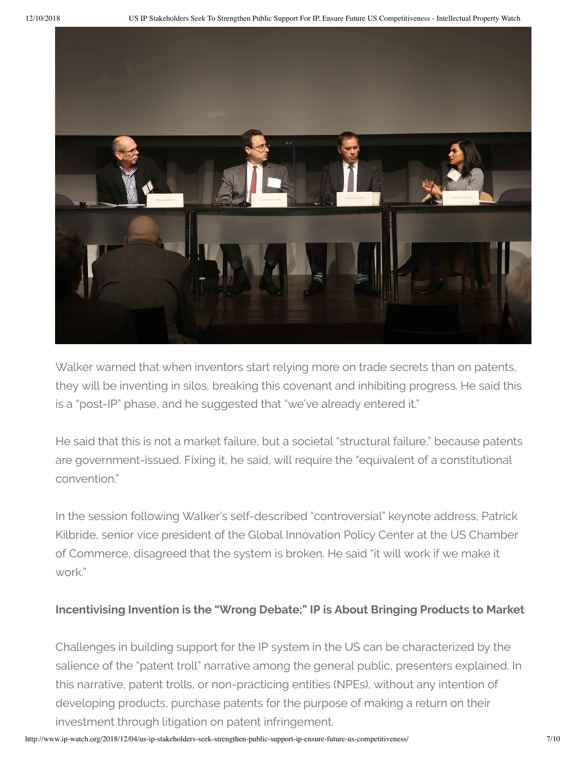

Walker warned that when inventors start relying more on trade secrets than on patents, they will be inventing in silos, breaking this covenant and inhibiting progress. He said this is a "post-IP" phase, and he suggested that "we've already entered it."

He said that this is not a market failure, but a societal "structural failure," because patents are government-issued. Fixing it, he said, will require the "equivalent of a constitutional convention."

In the session following Walker's self-described "controversial" keynote address, Patrick Kilbride, senior vice president of the Global Innovation Policy Center at the US Chamber of Commerce, disagreed that the system is broken. He said "it will work if we make it work."

## **Incentivising Invention is the "Wrong Debate;" IP is About Bringing Products to Market**

Challenges in building support for the IP system in the US can be characterized by the salience of the "patent troll" narrative among the general public, presenters explained. In this narrative, patent trolls, or non-practicing entities (NPEs), without any intention of developing products, purchase patents for the purpose of making a return on their investment through litigation on patent infringement.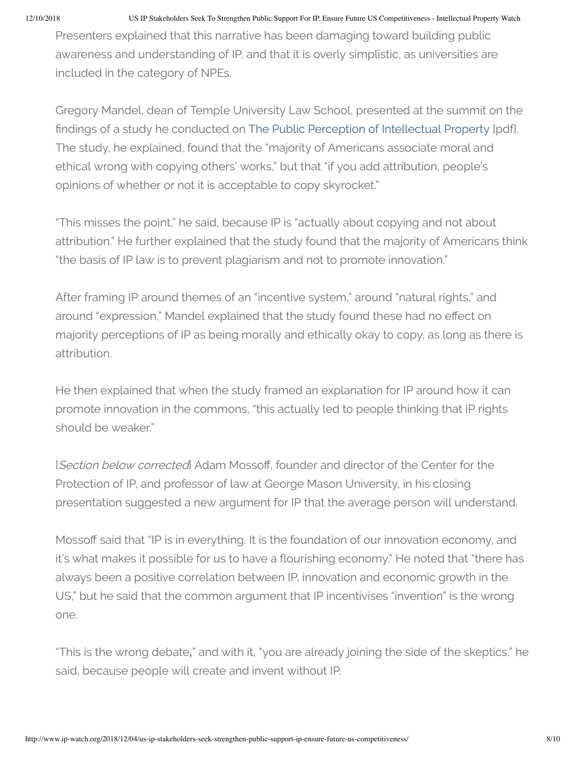Presenters explained that this narrative has been damaging toward building public awareness and understanding of IP, and that it is overly simplistic, as universities are included in the category of NPEs.

Gregory Mandel, dean of Temple University Law School, presented at the summit on the findings of a study he conducted on The Public Perception of [Intellectual](https://scholarship.law.ufl.edu/cgi/viewcontent.cgi?article=1178&context=flr) Property [pdf]. The study, he explained, found that the "majority of Americans associate moral and ethical wrong with copying others' works," but that "if you add attribution, people's opinions of whether or not it is acceptable to copy skyrocket."

"This misses the point," he said, because IP is "actually about copying and not about attribution." He further explained that the study found that the majority of Americans think "the basis of IP law is to prevent plagiarism and not to promote innovation."

After framing IP around themes of an "incentive system," around "natural rights," and around "expression," Mandel explained that the study found these had no effect on majority perceptions of IP as being morally and ethically okay to copy, as long as there is attribution.

He then explained that when the study framed an explanation for IP around how it can promote innovation in the commons, "this actually led to people thinking that IP rights should be weaker."

[Section below corrected] Adam Mossoff, founder and director of the Center for the Protection of IP, and professor of law at George Mason University, in his closing presentation suggested a new argument for IP that the average person will understand.

Mossoff said that "IP is in everything. It is the foundation of our innovation economy, and it's what makes it possible for us to have a flourishing economy." He noted that "there has always been a positive correlation between IP, innovation and economic growth in the US," but he said that the common argument that IP incentivises "invention" is the wrong one.

"This is the wrong debate**,**" and with it, "you are already joining the side of the skeptics," he said, because people will create and invent without IP.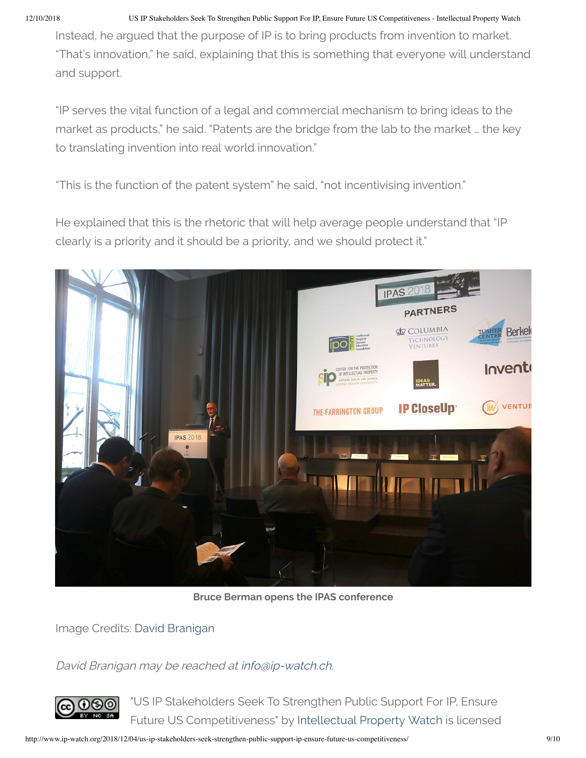Instead, he argued that the purpose of IP is to bring products from invention to market. "That's innovation," he said, explaining that this is something that everyone will understand and support.

"IP serves the vital function of a legal and commercial mechanism to bring ideas to the market as products," he said. "Patents are the bridge from the lab to the market … the key to translating invention into real world innovation."

"This is the function of the patent system" he said, "not incentivising invention."

He explained that this is the rhetoric that will help average people understand that "IP clearly is a priority and it should be a priority, and we should protect it."



**Bruce Berman opens the IPAS conference**

Image Credits: David [Branigan](http://www.ip-watch.org/2018/12/04/us-ip-stakeholders-seek-strengthen-public-support-ip-ensure-future-us-competitiveness/)

David Branigan may be reached at [info@ip-watch.ch](mailto:info@ip-watch.ch).



"US IP Stakeholders Seek To Strengthen Public Support For IP, Ensure Future US Competitiveness" by [Intellectual](http://www.ip-watch.org/2018/12/04/us-ip-stakeholders-seek-strengthen-public-support-ip-ensure-future-us-competitiveness/) Property Watch is licensed